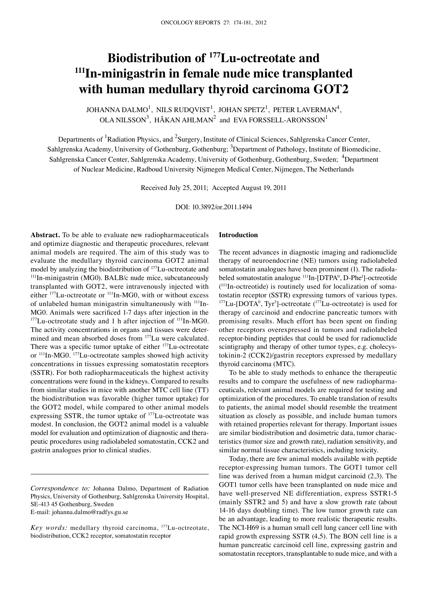# **Biodistribution of 177Lu-octreotate and 111In-minigastrin in female nude mice transplanted with human medullary thyroid carcinoma GOT2**

JOHANNA DALMO $^1$ , NILS RUDQVIST $^1$ , JOHAN SPETZ $^1$ , PETER LAVERMAN $^4_\Lambda$ OLA NILSSON<sup>3</sup>, HÅKAN AHLMAN<sup>2</sup> and EVA FORSSELL-ARONSSON<sup>1</sup>

Departments of <sup>1</sup>Radiation Physics, and <sup>2</sup>Surgery, Institute of Clinical Sciences, Sahlgrenska Cancer Center, Sahlgrenska Academy, University of Gothenburg, Gothenburg; <sup>3</sup>Department of Pathology, Institute of Biomedicine, Sahlgrenska Cancer Center, Sahlgrenska Academy, University of Gothenburg, Gothenburg, Sweden; <sup>4</sup>Department of Nuclear Medicine, Radboud University Nijmegen Medical Center, Nijmegen, The Netherlands

Received July 25, 2011; Accepted August 19, 2011

DOI: 10.3892/or.2011.1494

**Abstract.** To be able to evaluate new radiopharmaceuticals and optimize diagnostic and therapeutic procedures, relevant animal models are required. The aim of this study was to evaluate the medullary thyroid carcinoma GOT2 animal<br>model by analyzing the biodistribution of <sup>177</sup>Lu-octreotate and  $111$ In-minigastrin (MG0). BALB/c nude mice, subcutaneously transplanted with GOT2, were intravenously injected with either <sup>177</sup>Lu-octreotate or <sup>111</sup>In-MG0, with or without excess of unlabeled human minigastrin simultaneously with <sup>111</sup>In-MG0. Animals were sacrificed 1-7 days after injection in the  $177$ Lu-octreotate study and 1 h after injection of  $111$ In-MG0. The activity concentrations in organs and tissues were determined and mean absorbed doses from 177Lu were calculated. There was a specific tumor uptake of either <sup>177</sup>Lu-octreotate or 111In-MG0. 177Lu-octreotate samples showed high activity concentrations in tissues expressing somatostatin receptors (SSTR). For both radiopharmaceuticals the highest activity concentrations were found in the kidneys. Compared to results from similar studies in mice with another MTC cell line (TT) the biodistribution was favorable (higher tumor uptake) for the GOT2 model, while compared to other animal models expressing SSTR, the tumor uptake of 177Lu-octreotate was modest. In conclusion, the GOT2 animal model is a valuable model for evaluation and optimization of diagnostic and therapeutic procedures using radiolabeled somatostatin, CCK2 and gastrin analogues prior to clinical studies.

## biodistribution, CCK2 receptor, somatostatin receptor

#### **Introduction**

The recent advances in diagnostic imaging and radionuclide therapy of neuroendocrine (NE) tumors using radiolabeled somatostatin analogues have been prominent (1). The radiolabeled somatostatin analogue <sup>111</sup>In-[DTPA<sup>0</sup>, D-Phe<sup>1</sup>]-octreotide  $(111)$ In-octreotide) is routinely used for localization of somatostatin receptor (SSTR) expressing tumors of various types.  $177$ Lu-[DOTA<sup>0</sup>, Tyr<sup>3</sup>]-octreotate  $(177$ Lu-octreotate) is used for therapy of carcinoid and endocrine pancreatic tumors with promising results. Much effort has been spent on finding other receptors overexpressed in tumors and radiolabeled receptor-binding peptides that could be used for radionuclide scintigraphy and therapy of other tumor types, e.g. cholecystokinin-2 (CCK2)/gastrin receptors expressed by medullary thyroid carcinoma (MTC).

To be able to study methods to enhance the therapeutic results and to compare the usefulness of new radiopharmaceuticals, relevant animal models are required for testing and optimization of the procedures. To enable translation of results to patients, the animal model should resemble the treatment situation as closely as possible, and include human tumors with retained properties relevant for therapy. Important issues are similar biodistribution and dosimetric data, tumor characteristics (tumor size and growth rate), radiation sensitivity, and similar normal tissue characteristics, including toxicity.

Today, there are few animal models available with peptide receptor-expressing human tumors. The GOT1 tumor cell line was derived from a human midgut carcinoid (2,3). The GOT1 tumor cells have been transplanted on nude mice and have well-preserved NE differentiation, express SSTR1-5 (mainly SSTR2 and 5) and have a slow growth rate (about 14-16 days doubling time). The low tumor growth rate can be an advantage, leading to more realistic therapeutic results. The NCI-H69 is a human small cell lung cancer cell line with rapid growth expressing SSTR (4,5). The BON cell line is a human pancreatic carcinoid cell line, expressing gastrin and somatostatin receptors, transplantable to nude mice, and with a

*Correspondence to:* Johanna Dalmo, Department of Radiation Physics, University of Gothenburg, Sahlgrenska University Hospital, SE-413 45 Gothenburg, Sweden E-mail: johanna.dalmo@radfys.gu.se

*Key words:* medullary thyroid carcinoma, 177Lu-octreotate,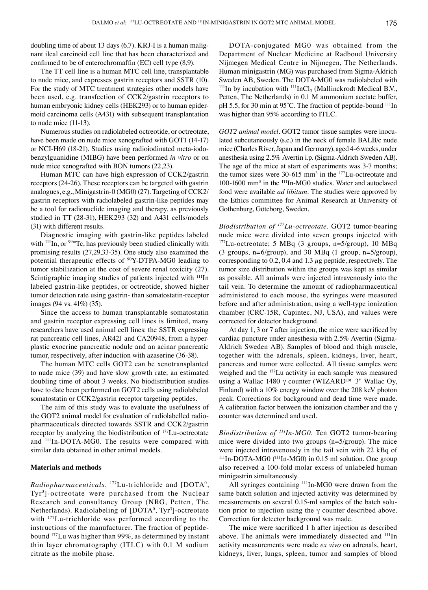doubling time of about 13 days (6,7). KRJ-I is a human malignant ileal carcinoid cell line that has been characterized and confirmed to be of enterochromaffin (EC) cell type (8,9).

The TT cell line is a human MTC cell line, transplantable to nude mice, and expresses gastrin receptors and SSTR (10). For the study of MTC treatment strategies other models have been used, e.g. transfection of CCK2/gastrin receptors to human embryonic kidney cells (HEK293) or to human epidermoid carcinoma cells (A431) with subsequent transplantation to nude mice (11-13).

Numerous studies on radiolabeled octreotide, or octreotate, have been made on nude mice xenografted with GOT1 (14-17) or NCI-H69 (18-21). Studies using radioiodinated meta-iodobenzylguanidine (MIBG) have been performed *in vitro* or on nude mice xenografted with BON tumors (22,23).

Human MTC can have high expression of CCK2/gastrin receptors (24-26). These receptors can be targeted with gastrin analogues, e.g., Minigastrin-0 (MG0) (27). Targeting of CCK2/ gastrin receptors with radiolabeled gastrin-like peptides may be a tool for radionuclide imaging and therapy, as previously studied in TT (28-31), HEK293 (32) and A431 cells/models (31) with different results.

Diagnostic imaging with gastrin-like peptides labeled with  $111$ In, or  $99m$ Tc, has previously been studied clinically with promising results (27,29,33-35). One study also examined the potential therapeutic effects of 90Y-DTPA-MG0 leading to tumor stabilization at the cost of severe renal toxicity (27). Scintigraphic imaging studies of patients injected with <sup>111</sup>In labeled gastrin-like peptides, or octreotide, showed higher tumor detection rate using gastrin- than somatostatin-receptor images (94 vs. 41%) (35).

Since the access to human transplantable somatostatin and gastrin receptor expressing cell lines is limited, many researchers have used animal cell lines: the SSTR expressing rat pancreatic cell lines, AR42J and CA20948, from a hyperplastic exocrine pancreatic nodule and an acinar pancreatic tumor, respectively, after induction with azaserine (36-38).

The human MTC cells GOT2 can be xenotransplanted to nude mice (39) and have slow growth rate; an estimated doubling time of about 3 weeks. No biodistribution studies have to date been performed on GOT2 cells using radiolabeled somatostatin or CCK2/gastrin receptor targeting peptides.

The aim of this study was to evaluate the usefulness of the GOT2 animal model for evaluation of radiolabelled radiopharmaceuticals directed towards SSTR and CCK2/gastrin receptor by analyzing the biodistribution of 177Lu-octreotate and 111In-DOTA-MG0. The results were compared with similar data obtained in other animal models.

# **Materials and methods**

Radiopharmaceuticals. <sup>177</sup>Lu-trichloride and [DOTA<sup>0</sup>, Tyr3 ]-octreotate were purchased from the Nuclear Research and consultancy Group (NRG, Petten, The Netherlands). Radiolabeling of [DOTA<sup>0</sup>, Tyr<sup>3</sup>]-octreotate with 177Lu-trichloride was performed according to the instructions of the manufacturer. The fraction of peptidebound 177Lu was higher than 99%, as determined by instant thin layer chromatography (ITLC) with 0.1 M sodium citrate as the mobile phase.

DOTA-conjugated MG0 was obtained from the Department of Nuclear Medicine at Radboud University Nijmegen Medical Centre in Nijmegen, The Netherlands. Human minigastrin (MG) was purchased from Sigma-Aldrich Sweden AB, Sweden. The DOTA-MG0 was radiolabeled with  $111$ In by incubation with  $111$ InCl<sub>3</sub> (Mallinckrodt Medical B.V., Petten, The Netherlands) in 0.1 M ammonium acetate buffer, pH 5.5, for 30 min at 95°C. The fraction of peptide-bound <sup>111</sup>In was higher than 95% according to ITLC.

*GOT2 animal model.* GOT2 tumor tissue samples were inoculated subcutaneously (s.c.) in the neck of female BALB/c nude mice (Charles River, Japan and Germany), aged 4-6 weeks, under anesthesia using 2.5% Avertin i.p. (Sigma-Aldrich Sweden AB). The age of the mice at start of experiments was 3-7 months; the tumor sizes were  $30-615$  mm<sup>3</sup> in the  $177$ Lu-octreotate and 100-1600 mm3 in the 111In-MG0 studies. Water and autoclaved food were available *ad libitum*. The studies were approved by the Ethics committee for Animal Research at University of Gothenburg, Göteborg, Sweden.

*Biodistribution of 177Lu-octreotate.* GOT2 tumor-bearing nude mice were divided into seven groups injected with  $177$ Lu-octreotate; 5 MBq (3 groups, n=5/group), 10 MBq (3 groups, n=6/group), and 30 MBq (1 group, n=5/group), corresponding to  $0.2$ ,  $0.4$  and  $1.3 \mu$ g peptide, respectively. The tumor size distribution within the groups was kept as similar as possible. All animals were injected intravenously into the tail vein. To determine the amount of radiopharmaceutical administered to each mouse, the syringes were measured before and after administration, using a well-type ionization chamber (CRC-15R, Capintec, NJ, USA), and values were corrected for detector background.

At day 1, 3 or 7 after injection, the mice were sacrificed by cardiac puncture under anesthesia with 2.5% Avertin (Sigma-Aldrich Sweden AB). Samples of blood and thigh muscle, together with the adrenals, spleen, kidneys, liver, heart, pancreas and tumor were collected. All tissue samples were weighed and the 177Lu activity in each sample was measured using a Wallac 1480  $\gamma$  counter (WIZARD<sup>™</sup> 3" Wallac Oy, Finland) with a 10% energy window over the 208 keV photon peak. Corrections for background and dead time were made. A calibration factor between the ionization chamber and the  $\gamma$ counter was determined and used.

*Biodistribution of 111In-MG0.* Ten GOT2 tumor-bearing mice were divided into two groups (n=5/group). The mice were injected intravenously in the tail vein with 22 kBq of 111In-DOTA-MG0 (111In-MG0) in 0.15 ml solution. One group also received a 100-fold molar excess of unlabeled human minigastrin simultaneously.

All syringes containing <sup>111</sup>In-MG0 were drawn from the same batch solution and injected activity was determined by measurements on several 0.15-ml samples of the batch solution prior to injection using the  $\gamma$  counter described above. Correction for detector background was made.

The mice were sacrificed 1 h after injection as described above. The animals were immediately dissected and <sup>111</sup>In activity measurements were made *ex vivo* on adrenals, heart, kidneys, liver, lungs, spleen, tumor and samples of blood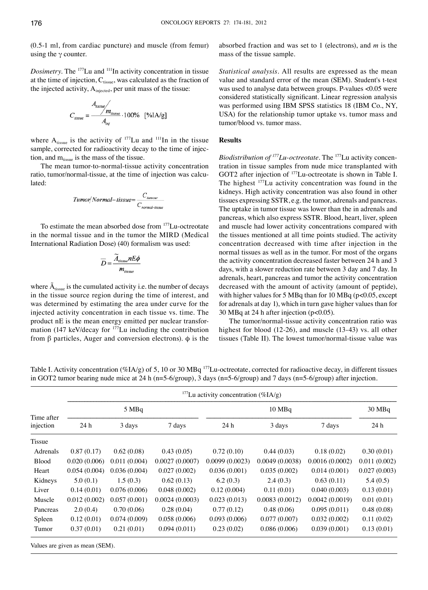(0.5-1 ml, from cardiac puncture) and muscle (from femur) using the  $\gamma$  counter.

*Dosimetry*. The <sup>177</sup>Lu and <sup>111</sup>In activity concentration in tissue at the time of injection,  $C_{tissue}$ , was calculated as the fraction of the injected activity, A<sub>injected</sub>, per unit mass of the tissue:

$$
C_{tissue} = \frac{A_{tissue}}{A_{ini}} \cdot 100\% \quad [%IA/g]
$$

where  $A_{tissue}$  is the activity of <sup>177</sup>Lu and <sup>111</sup>In in the tissue sample, corrected for radioactivity decay to the time of injection, and  $m_{tissue}$  is the mass of the tissue.

The mean tumor-to-normal-tissue activity concentration ratio, tumor/normal-tissue, at the time of injection was calculated:

$$
Tumor/Normal-tissue = \frac{C_{\text{numour}}}{C_{\text{normal-tissue}}}
$$

To estimate the mean absorbed dose from 177Lu-octreotate in the normal tissue and in the tumor the MIRD (Medical International Radiation Dose) (40) formalism was used:

$$
\overline{D} = \frac{\widetilde{A}_{tissue} nE\phi}{m_{tissue}}
$$

where  $\tilde{A}_{tissue}$  is the cumulated activity i.e. the number of decays in the tissue source region during the time of interest, and was determined by estimating the area under curve for the injected activity concentration in each tissue vs. time. The product nE is the mean energy emitted per nuclear transformation (147 keV/decay for 177Lu including the contribution from β particles, Auger and conversion electrons).  $\phi$  is the absorbed fraction and was set to 1 (electrons), and *m* is the mass of the tissue sample.

*Statistical analysis.* All results are expressed as the mean value and standard error of the mean (SEM). Student's t-test was used to analyse data between groups. P-values <0.05 were considered statistically significant. Linear regression analysis was performed using IBM SPSS statistics 18 (IBM Co., NY, USA) for the relationship tumor uptake vs. tumor mass and tumor/blood vs. tumor mass.

# **Results**

*Biodistribution of 177Lu-octreotate.* The 177Lu activity concentration in tissue samples from nude mice transplanted with GOT2 after injection of <sup>177</sup>Lu-octreotate is shown in Table I. The highest 177Lu activity concentration was found in the kidneys. High activity concentration was also found in other tissues expressing SSTR, e.g. the tumor, adrenals and pancreas. The uptake in tumor tissue was lower than the in adrenals and pancreas, which also express SSTR. Blood, heart, liver, spleen and muscle had lower activity concentrations compared with the tissues mentioned at all time points studied. The activity concentration decreased with time after injection in the normal tissues as well as in the tumor. For most of the organs the activity concentration decreased faster between 24 h and 3 days, with a slower reduction rate between 3 day and 7 day. In adrenals, heart, pancreas and tumor the activity concentration decreased with the amount of activity (amount of peptide), with higher values for 5 MBq than for 10 MBq (p<0.05, except for adrenals at day 1), which in turn gave higher values than for 30 MBq at 24 h after injection (p<0.05).

The tumor/normal-tissue activity concentration ratio was highest for blood (12-26), and muscle (13-43) vs. all other tissues (Table II). The lowest tumor/normal-tissue value was

Table I. Activity concentration (%IA/g) of 5, 10 or 30 MBq <sup>177</sup>Lu-octreotate, corrected for radioactive decay, in different tissues in GOT2 tumor bearing nude mice at 24 h (n=5-6/group), 3 days (n=5-6/group) and 7 days (n=5-6/group) after injection.

|                         | <sup>177</sup> Lu activity concentration (%IA/g) |              |                |                |                  |                |              |  |  |  |  |
|-------------------------|--------------------------------------------------|--------------|----------------|----------------|------------------|----------------|--------------|--|--|--|--|
| Time after<br>injection |                                                  | 5 MBq        |                |                | $30 \text{ MBq}$ |                |              |  |  |  |  |
|                         | 24 h                                             | 3 days       | 7 days         | 24 h           | 3 days           | 7 days         | 24 h         |  |  |  |  |
| Tissue                  |                                                  |              |                |                |                  |                |              |  |  |  |  |
| Adrenals                | 0.87(0.17)                                       | 0.62(0.08)   | 0.43(0.05)     | 0.72(0.10)     | 0.44(0.03)       | 0.18(0.02)     | 0.30(0.01)   |  |  |  |  |
| <b>Blood</b>            | 0.020(0.006)                                     | 0.011(0.004) | 0.0027(0.0007) | 0.0099(0.0023) | 0.0049(0.0038)   | 0.0016(0.0002) | 0.011(0.002) |  |  |  |  |
| Heart                   | 0.054(0.004)                                     | 0.036(0.004) | 0.027(0.002)   | 0.036(0.001)   | 0.035(0.002)     | 0.014(0.001)   | 0.027(0.003) |  |  |  |  |
| Kidneys                 | 5.0(0.1)                                         | 1.5(0.3)     | 0.62(0.13)     | 6.2(0.3)       | 2.4(0.3)         | 0.63(0.11)     | 5.4(0.5)     |  |  |  |  |
| Liver                   | 0.14(0.01)                                       | 0.076(0.006) | 0.048(0.002)   | 0.12(0.004)    | 0.11(0.01)       | 0.040(0.003)   | 0.13(0.01)   |  |  |  |  |
| Muscle                  | 0.012(0.002)                                     | 0.057(0.001) | 0.0024(0.0003) | 0.023(0.013)   | 0.0083(0.0012)   | 0.0042(0.0019) | 0.01(0.01)   |  |  |  |  |
| Pancreas                | 2.0(0.4)                                         | 0.70(0.06)   | 0.28(0.04)     | 0.77(0.12)     | 0.48(0.06)       | 0.095(0.011)   | 0.48(0.08)   |  |  |  |  |
| Spleen                  | 0.12(0.01)                                       | 0.074(0.009) | 0.058(0.006)   | 0.093(0.006)   | 0.077(0.007)     | 0.032(0.002)   | 0.11(0.02)   |  |  |  |  |
| Tumor                   | 0.37(0.01)                                       | 0.21(0.01)   | 0.094(0.011)   | 0.23(0.02)     | 0.086(0.006)     | 0.039(0.001)   | 0.13(0.01)   |  |  |  |  |

Values are given as mean (SEM).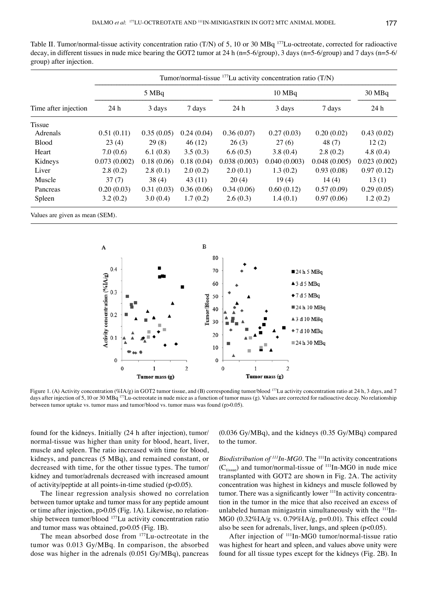Table II. Tumor/normal-tissue activity concentration ratio (T/N) of 5, 10 or 30 MBq 177Lu-octreotate, corrected for radioactive decay, in different tissues in nude mice bearing the GOT2 tumor at 24 h ( $n=5-6/group$ ), 3 days ( $n=5-6/group$ ) and 7 days ( $n=5-6/$ group) after injection.

|                      | Tumor/normal-tissue $^{177}$ Lu activity concentration ratio (T/N) |            |            |              |              |              |              |  |  |  |
|----------------------|--------------------------------------------------------------------|------------|------------|--------------|--------------|--------------|--------------|--|--|--|
|                      |                                                                    | 5 MBq      |            |              | 30 MBq       |              |              |  |  |  |
| Time after injection | 24h                                                                | 3 days     | 7 days     | 24 h         | 3 days       | 7 days       | 24 h         |  |  |  |
| Tissue               |                                                                    |            |            |              |              |              |              |  |  |  |
| Adrenals             | 0.51(0.11)                                                         | 0.35(0.05) | 0.24(0.04) | 0.36(0.07)   | 0.27(0.03)   | 0.20(0.02)   | 0.43(0.02)   |  |  |  |
| <b>Blood</b>         | 23(4)                                                              | 29(8)      | 46(12)     | 26(3)        | 27(6)        | 48(7)        | 12(2)        |  |  |  |
| Heart                | 7.0(0.6)                                                           | 6.1(0.8)   | 3.5(0.3)   | 6.6(0.5)     | 3.8(0.4)     | 2.8(0.2)     | 4.8(0.4)     |  |  |  |
| Kidneys              | 0.073(0.002)                                                       | 0.18(0.06) | 0.18(0.04) | 0.038(0.003) | 0.040(0.003) | 0.048(0.005) | 0.023(0.002) |  |  |  |
| Liver                | 2.8(0.2)                                                           | 2.8(0.1)   | 2.0(0.2)   | 2.0(0.1)     | 1.3(0.2)     | 0.93(0.08)   | 0.97(0.12)   |  |  |  |
| Muscle               | 37(7)                                                              | 38(4)      | 43(11)     | 20(4)        | 19(4)        | 14(4)        | 13(1)        |  |  |  |
| Pancreas             | 0.20(0.03)                                                         | 0.31(0.03) | 0.36(0.06) | 0.34(0.06)   | 0.60(0.12)   | 0.57(0.09)   | 0.29(0.05)   |  |  |  |
| Spleen               | 3.2(0.2)                                                           | 3.0(0.4)   | 1.7(0.2)   | 2.6(0.3)     | 1.4(0.1)     | 0.97(0.06)   | 1.2(0.2)     |  |  |  |
|                      |                                                                    |            |            |              |              |              |              |  |  |  |

Values are given as mean (SEM).



Figure 1. (A) Activity concentration (%IA/g) in GOT2 tumor tissue, and (B) corresponding tumor/blood 177Lu activity concentration ratio at 24 h, 3 days, and 7 days after injection of 5, 10 or 30 MBq <sup>177</sup>Lu-octreotate in nude mice as a function of tumor mass (g). Values are corrected for radioactive decay. No relationship between tumor uptake vs. tumor mass and tumor/blood vs. tumor mass was found (p>0.05).

found for the kidneys. Initially (24 h after injection), tumor/ normal-tissue was higher than unity for blood, heart, liver, muscle and spleen. The ratio increased with time for blood, kidneys, and pancreas (5 MBq), and remained constant, or decreased with time, for the other tissue types. The tumor/ kidney and tumor/adrenals decreased with increased amount of activity/peptide at all points-in-time studied (p<0.05).

The linear regression analysis showed no correlation between tumor uptake and tumor mass for any peptide amount or time after injection, p>0.05 (Fig. 1A). Likewise, no relationship between tumor/blood 177Lu activity concentration ratio and tumor mass was obtained, p>0.05 (Fig. 1B).

The mean absorbed dose from 177Lu-octreotate in the tumor was 0.013 Gy/MBq. In comparison, the absorbed dose was higher in the adrenals (0.051 Gy/MBq), pancreas (0.036 Gy/MBq), and the kidneys (0.35 Gy/MBq) compared to the tumor.

*Biodistribution of <sup>111</sup>In-MG0*. The <sup>111</sup>In activity concentrations  $(C_{tisen})$  and tumor/normal-tissue of  $\frac{111}{In-MG0}$  in nude mice transplanted with GOT2 are shown in Fig. 2A. The activity concentration was highest in kidneys and muscle followed by tumor. There was a significantly lower <sup>111</sup>In activity concentration in the tumor in the mice that also received an excess of unlabeled human minigastrin simultaneously with the <sup>111</sup>In-MG0 (0.32%IA/g vs. 0.79%IA/g, p=0.01). This effect could also be seen for adrenals, liver, lungs, and spleen (p<0.05).

After injection of <sup>111</sup>In-MG0 tumor/normal-tissue ratio was highest for heart and spleen, and values above unity were found for all tissue types except for the kidneys (Fig. 2B). In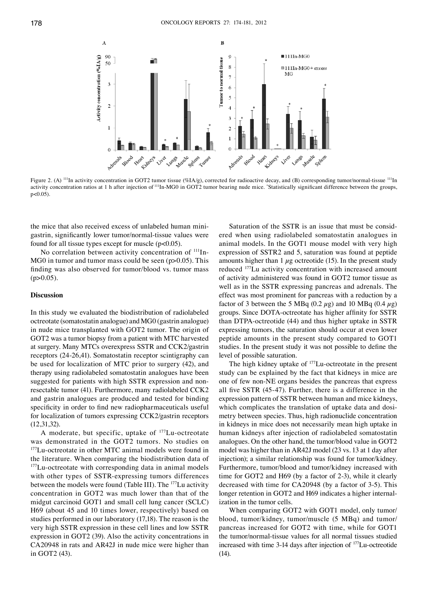

Figure 2. (A) <sup>111</sup>In activity concentration in GOT2 tumor tissue (%IA/g), corrected for radioactive decay, and (B) corresponding tumor/normal-tissue <sup>111</sup>In activity concentration ratios at 1 h after injection of <sup>111</sup>In-MG0 in GOT2 tumor bearing nude mice. "Statistically significant difference between the groups,  $p < 0.05$ ).

the mice that also received excess of unlabeled human minigastrin, significantly lower tumor/normal-tissue values were found for all tissue types except for muscle (p<0.05).

No correlation between activity concentration of <sup>111</sup>In- $MG<sub>0</sub>$  in tumor and tumor mass could be seen (p $>0.05$ ). This finding was also observed for tumor/blood vs. tumor mass  $(p>0.05)$ .

#### **Discussion**

In this study we evaluated the biodistribution of radiolabeled octreotate (somatostatin analogue) and MG0 (gastrin analogue) in nude mice transplanted with GOT2 tumor. The origin of GOT2 was a tumor biopsy from a patient with MTC harvested at surgery. Many MTCs overexpress SSTR and CCK2/gastrin receptors (24-26,41). Somatostatin receptor scintigraphy can be used for localization of MTC prior to surgery (42), and therapy using radiolabeled somatostatin analogues have been suggested for patients with high SSTR expression and nonresectable tumor (41). Furthermore, many radiolabeled CCK2 and gastrin analogues are produced and tested for binding specificity in order to find new radiopharmaceuticals useful for localization of tumors expressing CCK2/gastrin receptors (12,31,32).

A moderate, but specific, uptake of <sup>177</sup>Lu-octreotate was demonstrated in the GOT2 tumors. No studies on <sup>177</sup>Lu-octreotate in other MTC animal models were found in the literature. When comparing the biodistribution data of <sup>177</sup>Lu-octreotate with corresponding data in animal models with other types of SSTR-expressing tumors differences between the models were found (Table III). The 177Lu activity concentration in GOT2 was much lower than that of the midgut carcinoid GOT1 and small cell lung cancer (SCLC) H69 (about 45 and 10 times lower, respectively) based on studies performed in our laboratory (17,18). The reason is the very high SSTR expression in these cell lines and low SSTR expression in GOT2 (39). Also the activity concentrations in CA20948 in rats and AR42J in nude mice were higher than in GOT2 (43).

Saturation of the SSTR is an issue that must be considered when using radiolabeled somatostatin analogues in animal models. In the GOT1 mouse model with very high expression of SSTR2 and 5, saturation was found at peptide amounts higher than 1  $\mu$ g octreotide (15). In the present study reduced 177Lu activity concentration with increased amount of activity administered was found in GOT2 tumor tissue as well as in the SSTR expressing pancreas and adrenals. The effect was most prominent for pancreas with a reduction by a factor of 3 between the 5 MBq (0.2  $\mu$ g) and 10 MBq (0.4  $\mu$ g) groups. Since DOTA-octreotate has higher affinity for SSTR than DTPA-octreotide (44) and thus higher uptake in SSTR expressing tumors, the saturation should occur at even lower peptide amounts in the present study compared to GOT1 studies. In the present study it was not possible to define the level of possible saturation.

The high kidney uptake of <sup>177</sup>Lu-octreotate in the present study can be explained by the fact that kidneys in mice are one of few non-NE organs besides the pancreas that express all five SSTR (45-47). Further, there is a difference in the expression pattern of SSTR between human and mice kidneys, which complicates the translation of uptake data and dosimetry between species. Thus, high radionuclide concentration in kidneys in mice does not necessarily mean high uptake in human kidneys after injection of radiolabeled somatostatin analogues. On the other hand, the tumor/blood value in GOT2 model was higher than in AR42J model (23 vs. 13 at 1 day after injection); a similar relationship was found for tumor/kidney. Furthermore, tumor/blood and tumor/kidney increased with time for GOT2 and H69 (by a factor of 2-3), while it clearly decreased with time for CA20948 (by a factor of 3-5). This longer retention in GOT2 and H69 indicates a higher internalization in the tumor cells.

When comparing GOT2 with GOT1 model, only tumor/ blood, tumor/kidney, tumor/muscle (5 MBq) and tumor/ pancreas increased for GOT2 with time, while for GOT1 the tumor/normal-tissue values for all normal tissues studied increased with time 3-14 days after injection of 177Lu-octreotide (14).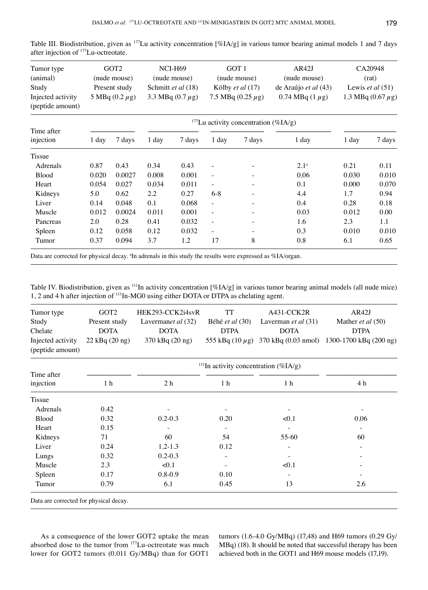| Tumor type<br>(animal)<br>Study<br>Injected activity<br>(peptide amount) | GOT <sub>2</sub><br>(nude mouse)<br>Present study<br>5 MBq $(0.2 \mu g)$ |        | NCI-H69<br>(nude mouse)<br>Schmitt et al (18)<br>3.3 MBq $(0.7 \mu g)$ |        | GOT 1<br>(nude mouse)<br>Kölby et al (17)<br>7.5 MBq $(0.25 \mu g)$ |                          | AR42J<br>(nude mouse)<br>de Araújo et al (43)<br>0.74 MBq $(1 \mu g)$ | CA20948<br>(rat)<br>Lewis <i>et al</i> $(51)$<br>1.3 MBq $(0.67 \,\mu g)$ |        |  |
|--------------------------------------------------------------------------|--------------------------------------------------------------------------|--------|------------------------------------------------------------------------|--------|---------------------------------------------------------------------|--------------------------|-----------------------------------------------------------------------|---------------------------------------------------------------------------|--------|--|
|                                                                          | <sup>177</sup> Lu activity concentration (%IA/g)                         |        |                                                                        |        |                                                                     |                          |                                                                       |                                                                           |        |  |
| Time after<br>injection                                                  | 1 day                                                                    | 7 days | $1 \,$ day                                                             | 7 days | $1$ day                                                             | 7 days                   | $1$ day                                                               | 1 day                                                                     | 7 days |  |
| Tissue                                                                   |                                                                          |        |                                                                        |        |                                                                     |                          |                                                                       |                                                                           |        |  |
| Adrenals                                                                 | 0.87                                                                     | 0.43   | 0.34                                                                   | 0.43   |                                                                     |                          | $2.1^{\circ}$                                                         | 0.21                                                                      | 0.11   |  |
| <b>Blood</b>                                                             | 0.020                                                                    | 0.0027 | 0.008                                                                  | 0.001  | $\overline{\phantom{0}}$                                            | $\overline{\phantom{0}}$ | 0.06                                                                  | 0.030                                                                     | 0.010  |  |
| Heart                                                                    | 0.054                                                                    | 0.027  | 0.034                                                                  | 0.011  | $\qquad \qquad -$                                                   | Ξ.                       | 0.1                                                                   | 0.000                                                                     | 0.070  |  |
| Kidneys                                                                  | 5.0                                                                      | 0.62   | 2.2                                                                    | 0.27   | $6 - 8$                                                             | $\overline{\phantom{a}}$ | 4.4                                                                   | 1.7                                                                       | 0.94   |  |
| Liver                                                                    | 0.14                                                                     | 0.048  | 0.1                                                                    | 0.068  | $\overline{\phantom{0}}$                                            | -                        | 0.4                                                                   | 0.28                                                                      | 0.18   |  |
| Muscle                                                                   | 0.012                                                                    | 0.0024 | 0.011                                                                  | 0.001  |                                                                     |                          | 0.03                                                                  | 0.012                                                                     | 0.00   |  |

Table III. Biodistribution, given as  $^{177}$ Lu activity concentration [%IA/g] in various tumor bearing animal models 1 and 7 days after injection of 177Lu-octreotate.

Data are corrected for physical decay. <sup>a</sup>In adrenals in this study the results were expressed as %IA/organ.

Table IV. Biodistribution, given as 111In activity concentration [%IA/g] in various tumor bearing animal models (all nude mice) 1, 2 and 4 h after injection of 111In-MG0 using either DOTA or DTPA as chelating agent.

Pancreas 2.0 0.28 0.41 0.032 - - 1.6 2.3 1.1 Spleen 0.12 0.058 0.12 0.032 - - 0.3 0.010 0.010 Tumor 0.37 0.094 3.7 1.2 17 8 0.8 6.1 0.65

| Tumor type<br>Study<br>Chelate<br>Injected activity<br>(peptide amount) | GOT <sub>2</sub><br>Present study<br><b>DOTA</b><br>$22$ kBq $(20$ ng) | HEK293-CCK2i4svR<br>Lavermanet al (32)<br><b>DOTA</b><br>370 kBq (20 ng) | TT<br>Béhé et al (30)<br><b>DTPA</b><br>555 kBq $(10 \mu g)$ | A431-CCK2R<br>Laverman et al (31)<br><b>DOTA</b> | AR42J<br>Mather et al (50)<br><b>DTPA</b><br>370 kBq (0.03 nmol) 1300-1700 kBq (200 ng) |  |  |  |  |
|-------------------------------------------------------------------------|------------------------------------------------------------------------|--------------------------------------------------------------------------|--------------------------------------------------------------|--------------------------------------------------|-----------------------------------------------------------------------------------------|--|--|--|--|
|                                                                         |                                                                        | <sup>111</sup> In activity concentration (%IA/g)                         |                                                              |                                                  |                                                                                         |  |  |  |  |
| Time after<br>injection                                                 | 1 <sub>h</sub>                                                         | 2 <sub>h</sub>                                                           | 1 <sub>h</sub>                                               | 1 <sub>h</sub>                                   | 4 h                                                                                     |  |  |  |  |
| Tissue                                                                  |                                                                        |                                                                          |                                                              |                                                  |                                                                                         |  |  |  |  |
| Adrenals                                                                | 0.42                                                                   |                                                                          |                                                              |                                                  |                                                                                         |  |  |  |  |
| <b>Blood</b>                                                            | 0.32                                                                   | $0.2 - 0.3$                                                              | 0.20                                                         | < 0.1                                            | 0.06                                                                                    |  |  |  |  |
| Heart                                                                   | 0.15                                                                   |                                                                          |                                                              |                                                  | $\overline{\phantom{a}}$                                                                |  |  |  |  |
| Kidneys                                                                 | 71                                                                     | 60                                                                       | 54                                                           | 55-60                                            | 60                                                                                      |  |  |  |  |
| Liver                                                                   | 0.24                                                                   | $1.2 - 1.3$                                                              | 0.12                                                         |                                                  | $\overline{\phantom{0}}$                                                                |  |  |  |  |
| Lungs                                                                   | 0.32                                                                   | $0.2 - 0.3$                                                              |                                                              |                                                  |                                                                                         |  |  |  |  |
| Muscle                                                                  | 2.3                                                                    | < 0.1                                                                    |                                                              | < 0.1                                            |                                                                                         |  |  |  |  |
| Spleen                                                                  | 0.17                                                                   | $0.8 - 0.9$                                                              | 0.10                                                         | $\overline{\phantom{a}}$                         |                                                                                         |  |  |  |  |
| Tumor                                                                   | 0.79                                                                   | 6.1                                                                      | 0.45                                                         | 13                                               | 2.6                                                                                     |  |  |  |  |
| Data are corrected for physical decay.                                  |                                                                        |                                                                          |                                                              |                                                  |                                                                                         |  |  |  |  |

As a consequence of the lower GOT2 uptake the mean absorbed dose to the tumor from 177Lu-octreotate was much lower for GOT2 tumors (0.011 Gy/MBq) than for GOT1

tumors (1.6-4.0 Gy/MBq) (17,48) and H69 tumors (0.29 Gy/ MBq) (18). It should be noted that successful therapy has been achieved both in the GOT1 and H69 mouse models (17,19).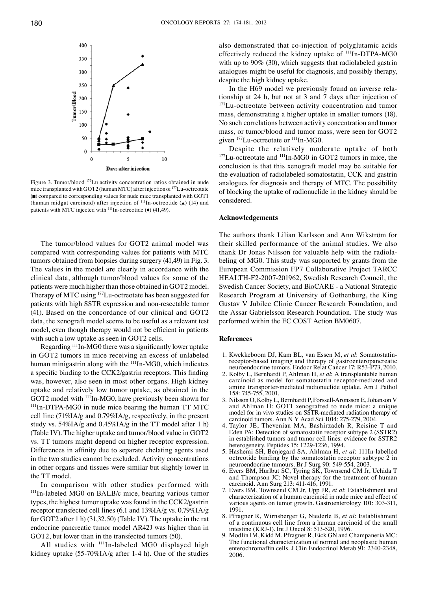

Figure 3. Tumor/blood 177Lu activity concentration ratios obtained in nude mice transplanted with GOT2 (human MTC) after injection of 177Lu-octreotate (◼) compared to corresponding values for nude mice transplanted with GOT1 (human midgut carcinoid) after injection of  $\frac{111}{\text{In-octreotide}}$  (A) (14) and patients with MTC injected with  $111$ In-octreotide ( $\blacklozenge$ ) (41,49).

The tumor/blood values for GOT2 animal model was compared with corresponding values for patients with MTC tumors obtained from biopsies during surgery (41,49) in Fig. 3. The values in the model are clearly in accordance with the clinical data, although tumor/blood values for some of the patients were much higher than those obtained in GOT2 model. Therapy of MTC using 177Lu-octreotate has been suggested for patients with high SSTR expression and non-resectable tumor (41). Based on the concordance of our clinical and GOT2 data, the xenograft model seems to be useful as a relevant test model, even though therapy would not be efficient in patients with such a low uptake as seen in GOT2 cells.

Regarding 111In-MG0 there was a significantly lower uptake in GOT2 tumors in mice receiving an excess of unlabeled human minigastrin along with the <sup>111</sup>In-MG0, which indicates a specific binding to the CCK2/gastrin receptors. This finding was, however, also seen in most other organs. High kidney uptake and relatively low tumor uptake, as obtained in the GOT2 model with <sup>111</sup>In-MG0, have previously been shown for <sup>111</sup>In-DTPA-MG0 in nude mice bearing the human TT MTC cell line (71%IA/g and 0.79%IA/g, respectively, in the present study vs.  $54\%$ IA/g and  $0.45\%$ IA/g in the TT model after 1 h) (Table IV). The higher uptake and tumor/blood value in GOT2 vs. TT tumors might depend on higher receptor expression. Differences in affinity due to separate chelating agents used in the two studies cannot be excluded. Activity concentrations in other organs and tissues were similar but slightly lower in the TT model.

In comparison with other studies performed with <sup>111</sup>In-labeled MG0 on BALB/c mice, bearing various tumor types, the highest tumor uptake was found in the CCK2/gastrin receptor transfected cell lines (6.1 and 13%IA/g vs. 0.79%IA/g for GOT2 after 1 h) (31,32,50) (Table IV). The uptake in the rat endocrine pancreatic tumor model AR42J was higher than in GOT2, but lower than in the transfected tumors (50).

All studies with  $^{111}$ In-labeled MG0 displayed high kidney uptake (55-70%IA/g after 1-4 h). One of the studies also demonstrated that co-injection of polyglutamic acids effectively reduced the kidney uptake of <sup>111</sup>In-DTPA-MG0 with up to 90% (30), which suggests that radiolabeled gastrin analogues might be useful for diagnosis, and possibly therapy, despite the high kidney uptake.

In the H69 model we previously found an inverse relationship at 24 h, but not at 3 and 7 days after injection of 177Lu-octreotate between activity concentration and tumor mass, demonstrating a higher uptake in smaller tumors (18). No such correlations between activity concentration and tumor mass, or tumor/blood and tumor mass, were seen for GOT2 given  $177$ Lu-octreotate or  $111$ In-MG0.

Despite the relatively moderate uptake of both <sup>177</sup>Lu-octreotate and <sup>111</sup>In-MG0 in GOT2 tumors in mice, the conclusion is that this xenograft model may be suitable for the evaluation of radiolabeled somatostatin, CCK and gastrin analogues for diagnosis and therapy of MTC. The possibility of blocking the uptake of radionuclide in the kidney should be considered.

#### **Acknowledgements**

The authors thank Lilian Karlsson and Ann Wikström for their skilled performance of the animal studies. We also thank Dr Jonas Nilsson for valuable help with the radiolabeling of MG0. This study was supported by grants from the European Commission FP7 Collaborative Project TARCC HEALTH-F2-2007-201962, Swedish Research Council, the Swedish Cancer Society, and BioCARE - a National Strategic Research Program at University of Gothenburg, the King Gustav V Jubilee Clinic Cancer Research Foundation, and the Assar Gabrielsson Research Foundation. The study was performed within the EC COST Action BM0607.

# **References**

- 1. Kwekkeboom DJ, Kam BL, van Essen M, *et al*: Somatostatinreceptor-based imaging and therapy of gastroenteropancreatic neuroendocrine tumors. Endocr Relat Cancer 17: R53-Ρ73, 2010.
- 2. Kolby L, Bernhardt P, Ahlman H, *et al*: A transplantable human carcinoid as model for somatostatin receptor-mediated and amine transporter-mediated radionuclide uptake. Am J Pathol 158: 745-755, 2001.
- 3. Nilsson O, Kolby L, Bernhardt P, Forssell-Aronsson E, Johanson V and Ahlman H: GOT1 xenografted to nude mice: a unique model for in vivo studies on SSTR-mediated radiation therapy of carcinoid tumors. Ann N Y Acad Sci 1014: 275-279, 2004.
- 4. Taylor JE, Theveniau MA, Bashirzadeh R, Reisine T and Eden PA: Detection of somatostatin receptor subtype 2 (SSTR2) in established tumors and tumor cell lines: evidence for SSTR2 heterogeneity. Peptides 15: 1229-1236, 1994.
- 5. Hashemi SH, Benjegard SA, Ahlman H, *et al*: 111In-labelled octreotide binding by the somatostatin receptor subtype 2 in neuroendocrine tumours. Br J Surg 90: 549-554, 2003.
- 6. Evers BM, Hurlbut SC, Tyring SK, Townsend CM Jr, Uchida T and Thompson JC: Novel therapy for the treatment of human carcinoid. Ann Surg 213: 411-416, 1991.
- 7. Evers BM, Townsend CM Jr, Upp JR, *et al*: Establishment and characterization of a human carcinoid in nude mice and effect of various agents on tumor growth. Gastroenterology 101: 303-311, 1991.
- 8. Pfragner R, Wirnsberger G, Niederle B, *et al*: Establishment of a continuous cell line from a human carcinoid of the small intestine (KRJ-I). Int J Oncol 8: 513-520, 1996.
- 9. Modlin IM, Kidd M, Pfragner R, Eick GN and Champaneria MC: The functional characterization of normal and neoplastic human enterochromaffin cells. J Clin Endocrinol Metab 91: 2340-2348, 2006.